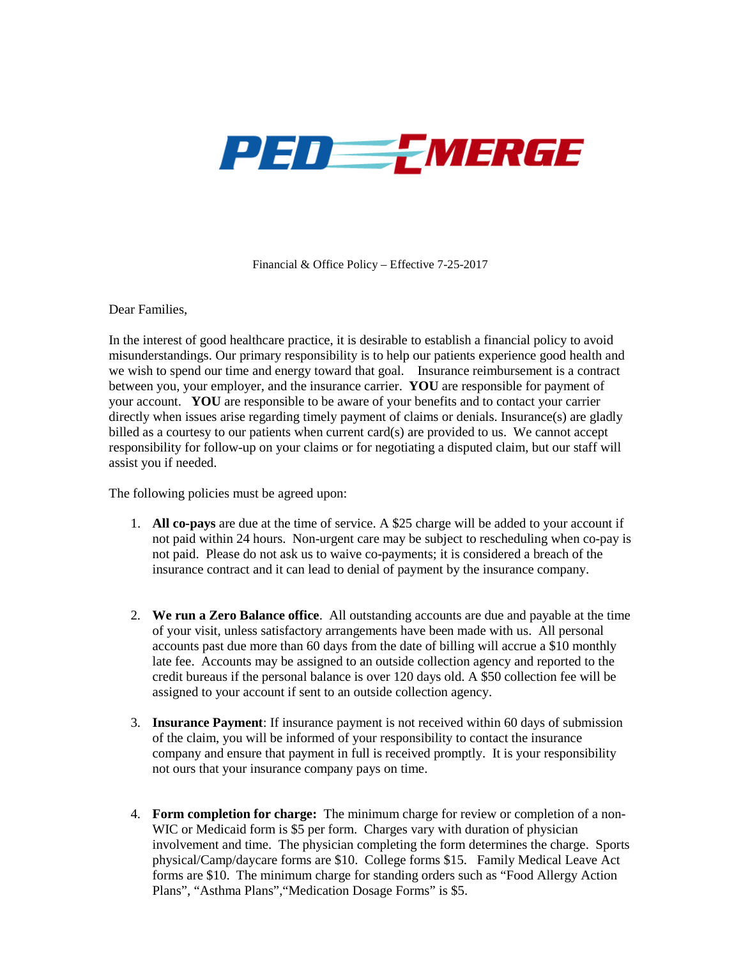

Financial & Office Policy – Effective 7-25-2017

Dear Families,

In the interest of good healthcare practice, it is desirable to establish a financial policy to avoid misunderstandings. Our primary responsibility is to help our patients experience good health and we wish to spend our time and energy toward that goal. Insurance reimbursement is a contract between you, your employer, and the insurance carrier. **YOU** are responsible for payment of your account. **YOU** are responsible to be aware of your benefits and to contact your carrier directly when issues arise regarding timely payment of claims or denials. Insurance(s) are gladly billed as a courtesy to our patients when current card(s) are provided to us. We cannot accept responsibility for follow-up on your claims or for negotiating a disputed claim, but our staff will assist you if needed.

The following policies must be agreed upon:

- 1. **All co-pays** are due at the time of service. A \$25 charge will be added to your account if not paid within 24 hours. Non-urgent care may be subject to rescheduling when co-pay is not paid. Please do not ask us to waive co-payments; it is considered a breach of the insurance contract and it can lead to denial of payment by the insurance company.
- 2. **We run a Zero Balance office**. All outstanding accounts are due and payable at the time of your visit, unless satisfactory arrangements have been made with us. All personal accounts past due more than 60 days from the date of billing will accrue a \$10 monthly late fee. Accounts may be assigned to an outside collection agency and reported to the credit bureaus if the personal balance is over 120 days old. A \$50 collection fee will be assigned to your account if sent to an outside collection agency.
- 3. **Insurance Payment**: If insurance payment is not received within 60 days of submission of the claim, you will be informed of your responsibility to contact the insurance company and ensure that payment in full is received promptly. It is your responsibility not ours that your insurance company pays on time.
- 4. **Form completion for charge:** The minimum charge for review or completion of a non-WIC or Medicaid form is \$5 per form. Charges vary with duration of physician involvement and time. The physician completing the form determines the charge. Sports physical/Camp/daycare forms are \$10. College forms \$15. Family Medical Leave Act forms are \$10. The minimum charge for standing orders such as "Food Allergy Action Plans", "Asthma Plans","Medication Dosage Forms" is \$5.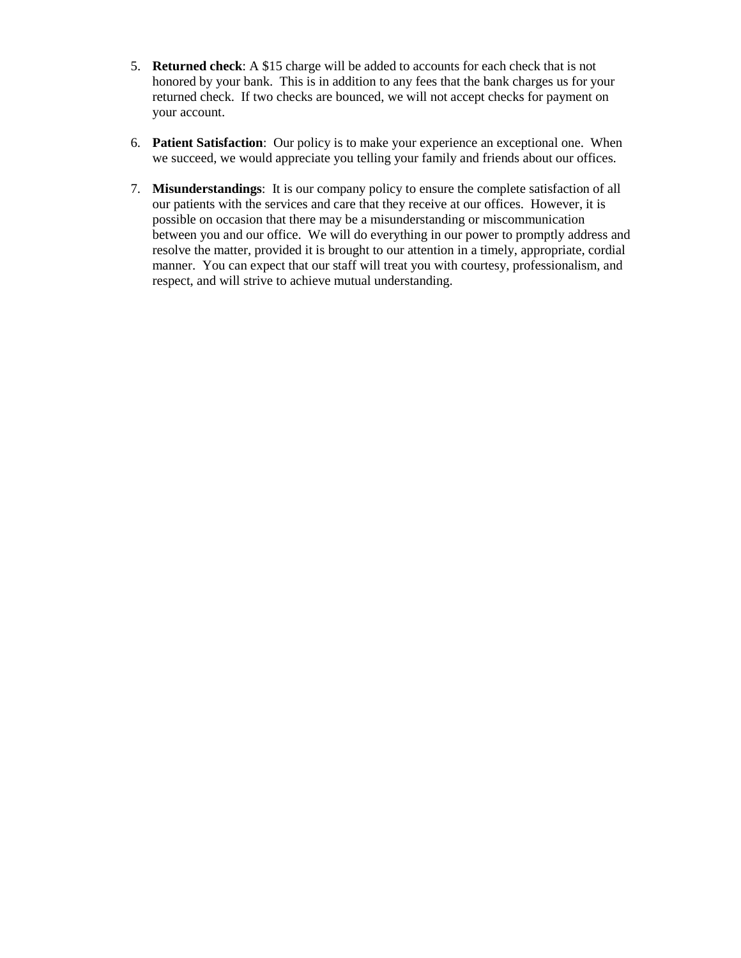- 5. **Returned check**: A \$15 charge will be added to accounts for each check that is not honored by your bank. This is in addition to any fees that the bank charges us for your returned check. If two checks are bounced, we will not accept checks for payment on your account.
- 6. **Patient Satisfaction**: Our policy is to make your experience an exceptional one. When we succeed, we would appreciate you telling your family and friends about our offices.
- 7. **Misunderstandings**: It is our company policy to ensure the complete satisfaction of all our patients with the services and care that they receive at our offices. However, it is possible on occasion that there may be a misunderstanding or miscommunication between you and our office. We will do everything in our power to promptly address and resolve the matter, provided it is brought to our attention in a timely, appropriate, cordial manner. You can expect that our staff will treat you with courtesy, professionalism, and respect, and will strive to achieve mutual understanding.